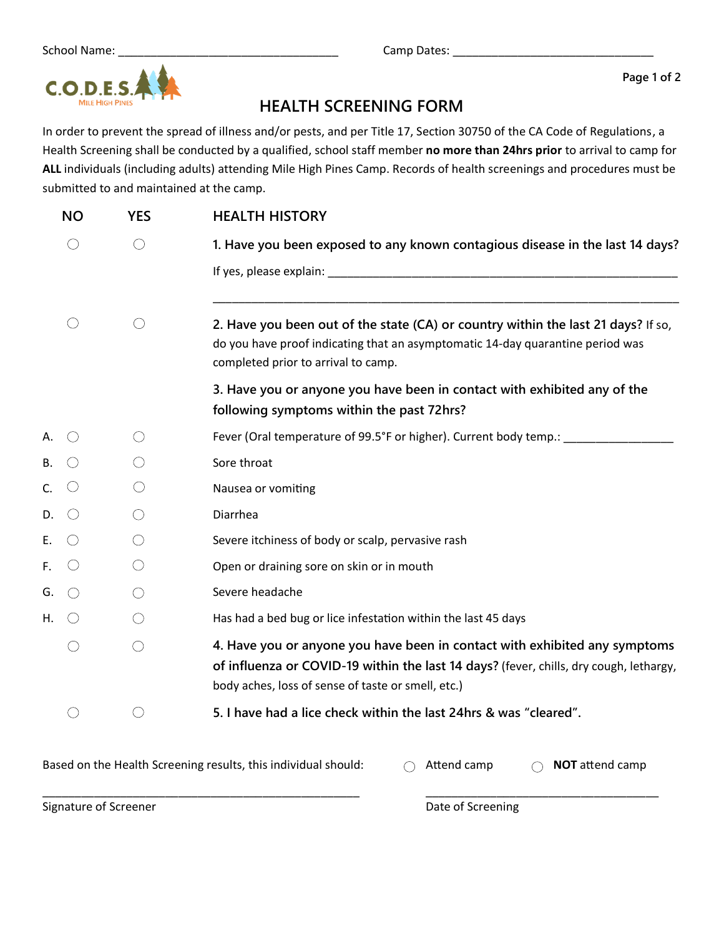**Page 1 of 2**

## **HEALTH SCREENING FORM**

In order to prevent the spread of illness and/or pests, and per Title 17, Section 30750 of the CA Code of Regulations, a Health Screening shall be conducted by a qualified, school staff member **no more than 24hrs prior** to arrival to camp for **ALL** individuals (including adults) attending Mile High Pines Camp. Records of health screenings and procedures must be submitted to and maintained at the camp.

|    | <b>NO</b> | <b>YES</b> | <b>HEALTH HISTORY</b>                                                                                                                                                                                                      |
|----|-----------|------------|----------------------------------------------------------------------------------------------------------------------------------------------------------------------------------------------------------------------------|
|    |           | $\bigcirc$ | 1. Have you been exposed to any known contagious disease in the last 14 days?                                                                                                                                              |
|    |           |            |                                                                                                                                                                                                                            |
|    |           | $($ )      | 2. Have you been out of the state (CA) or country within the last 21 days? If so,<br>do you have proof indicating that an asymptomatic 14-day quarantine period was<br>completed prior to arrival to camp.                 |
|    |           |            | 3. Have you or anyone you have been in contact with exhibited any of the<br>following symptoms within the past 72hrs?                                                                                                      |
| Α. |           |            | Fever (Oral temperature of 99.5°F or higher). Current body temp.: ______________                                                                                                                                           |
| В. |           | ()         | Sore throat                                                                                                                                                                                                                |
| C. |           |            | Nausea or vomiting                                                                                                                                                                                                         |
| D. |           | $\bigcirc$ | Diarrhea                                                                                                                                                                                                                   |
| E. |           |            | Severe itchiness of body or scalp, pervasive rash                                                                                                                                                                          |
| F. |           | ()         | Open or draining sore on skin or in mouth                                                                                                                                                                                  |
| G. | $($ )     |            | Severe headache                                                                                                                                                                                                            |
| Η. |           |            | Has had a bed bug or lice infestation within the last 45 days                                                                                                                                                              |
|    |           | $\bigcirc$ | 4. Have you or anyone you have been in contact with exhibited any symptoms<br>of influenza or COVID-19 within the last 14 days? (fever, chills, dry cough, lethargy,<br>body aches, loss of sense of taste or smell, etc.) |
|    |           |            | 5. I have had a lice check within the last 24hrs & was "cleared".                                                                                                                                                          |

Based on the Health Screening results, this individual should: <br> **Attend camp O NOT** attend camp

\_\_\_\_\_\_\_\_\_\_\_\_\_\_\_\_\_\_\_\_\_\_\_\_\_\_\_\_\_\_\_\_\_\_\_\_\_\_\_\_\_\_\_\_\_\_\_\_\_ \_\_\_\_\_\_\_\_\_\_\_\_\_\_\_\_\_\_\_\_\_\_\_\_\_\_\_\_\_\_\_\_\_\_\_\_

Signature of Screener **Date of Screening** Date of Screening